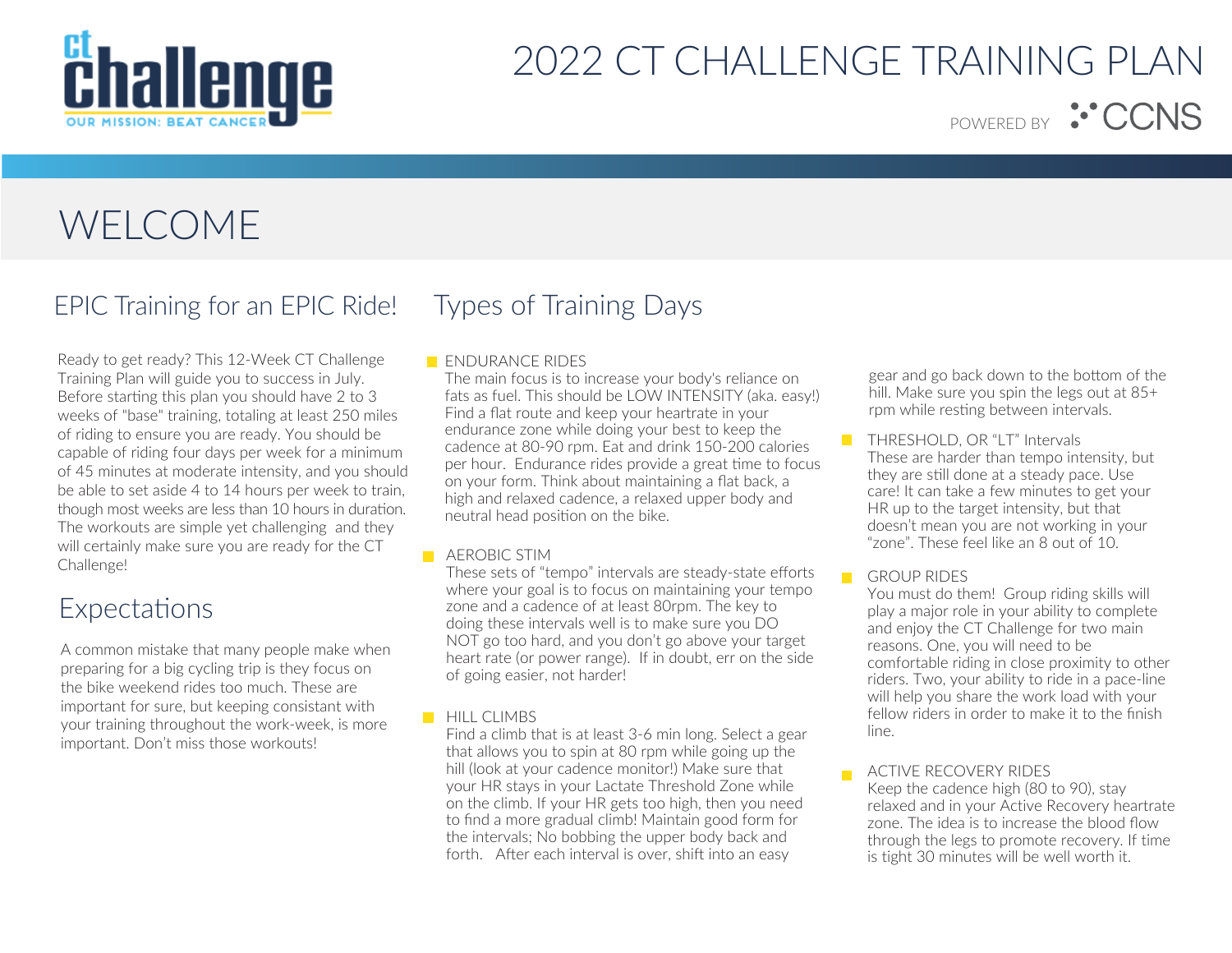

POWERED BY <sup>:•</sup>CCNS

## WELCOME

### EPIC Training for an EPIC Ride!

Ready to get ready? This 12-Week CT Challenge Training Plan will guide you to success in July. Before starting this plan you should have 2 to 3 weeks of "base" training, totaling at least 250 miles of riding to ensure you are ready. You should be capable of riding four days per week for a minimum of 45 minutes at moderate intensity, and you should be able to set aside 4 to 14 hours per week to train, though most weeks are less than 10 hours in duration. The workouts are simple yet challenging and they will certainly make sure you are ready for the CT Challenge!

### Expectations

A common mistake that many people make when preparing for a big cycling trip is they focus on the bike weekend rides too much. These are important for sure, but keeping consistant with your training throughout the work-week, is more important. Don't miss those workouts!

## Types of Training Days

#### **ENDURANCE RIDES**

The main focus is to increase your body's reliance on fats as fuel. This should be LOW INTENSITY (aka. easy!) Find a flat route and keep your heartrate in your endurance zone while doing your best to keep the cadence at 80-90 rpm. Eat and drink 150-200 calories per hour. Endurance rides provide a great time to focus on your form. Think about maintaining a flat back, a high and relaxed cadence, a relaxed upper body and neutral head position on the bike.

#### **AEROBIC STIM**

These sets of "tempo" intervals are steady-state efforts where your goal is to focus on maintaining your tempo zone and a cadence of at least 80rpm. The key to doing these intervals well is to make sure you DO NOT go too hard, and you don't go above your target heart rate (or power range). If in doubt, err on the side of going easier, not harder!

#### **HILL CLIMBS**

Find a climb that is at least 3-6 min long. Select a gear that allows you to spin at 80 rpm while going up the hill (look at your cadence monitor!) Make sure that your HR stays in your Lactate Threshold Zone while on the climb. If your HR gets too high, then you need to find a more gradual climb! Maintain good form for the intervals; No bobbing the upper body back and forth. After each interval is over, shift into an easy

gear and go back down to the bottom of the hill. Make sure you spin the legs out at 85+ rpm while resting between intervals.

- $\mathcal{L}_{\mathcal{A}}$ THRESHOLD, OR "LT" Intervals These are harder than tempo intensity, but they are still done at a steady pace. Use care! It can take a few minutes to get your HR up to the target intensity, but that doesn't mean you are not working in your "zone". These feel like an 8 out of 10.
- **GROUP RIDES**

You must do them! Group riding skills will play a major role in your ability to complete and enjoy the CT Challenge for two main reasons. One, you will need to be comfortable riding in close proximity to other riders. Two, your ability to ride in a pace-line will help you share the work load with your fellow riders in order to make it to the finish line.

ACTIVE RECOVERY RIDES

Keep the cadence high (80 to 90), stay relaxed and in your Active Recovery heartrate zone. The idea is to increase the blood flow through the legs to promote recovery. If time is tight 30 minutes will be well worth it.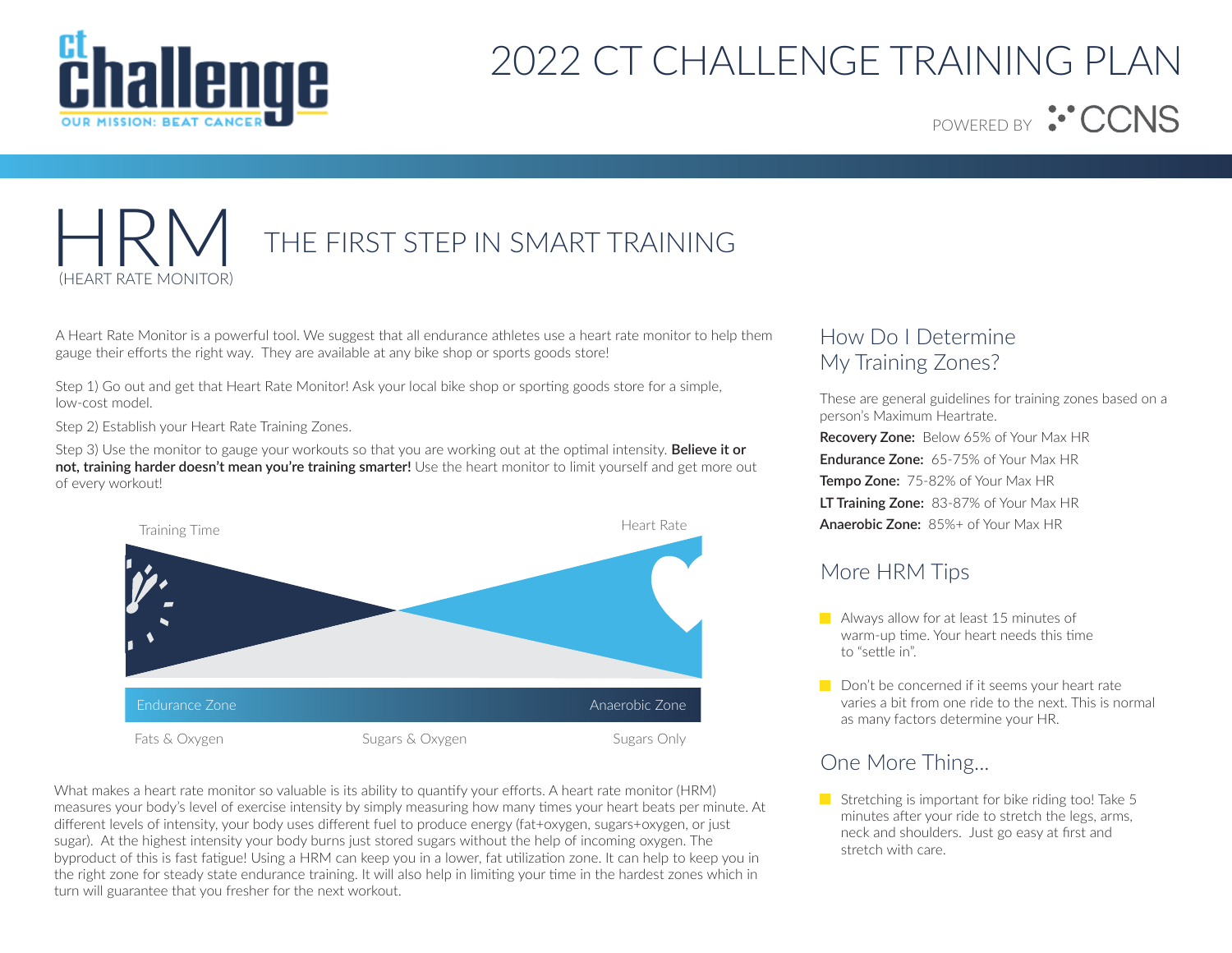

POWERED BY <sup>:••</sup>CCNS

## THE FIRST STEP IN SMART TRAINING HEART RATE MONITOR)

A Heart Rate Monitor is a powerful tool. We suggest that all endurance athletes use a heart rate monitor to help them gauge their efforts the right way. They are available at any bike shop or sports goods store!

Step 1) Go out and get that Heart Rate Monitor! Ask your local bike shop or sporting goods store for a simple, low-cost model.

Step 2) Establish your Heart Rate Training Zones.

Step 3) Use the monitor to gauge your workouts so that you are working out at the optimal intensity. **Believe it or not, training harder doesn't mean you're training smarter!** Use the heart monitor to limit yourself and get more out of every workout!



What makes a heart rate monitor so valuable is its ability to quantify your efforts. A heart rate monitor (HRM) measures your body's level of exercise intensity by simply measuring how many times your heart beats per minute. At different levels of intensity, your body uses different fuel to produce energy (fat+oxygen, sugars+oxygen, or just sugar). At the highest intensity your body burns just stored sugars without the help of incoming oxygen. The byproduct of this is fast fatigue! Using a HRM can keep you in a lower, fat utilization zone. It can help to keep you in the right zone for steady state endurance training. It will also help in limiting your time in the hardest zones which in turn will guarantee that you fresher for the next workout.

### How Do I Determine My Training Zones?

These are general guidelines for training zones based on a person's Maximum Heartrate.

**Recovery Zone:** Below 65% of Your Max HR **Endurance Zone:** 65-75% of Your Max HR **Tempo Zone:** 75-82% of Your Max HR **LT Training Zone:** 83-87% of Your Max HR **Anaerobic Zone:** 85%+ of Your Max HR

### More HRM Tips

- **Always allow for at least 15 minutes of** warm-up time. Your heart needs this time to "settle in".
- $\Box$  Don't be concerned if it seems your heart rate varies a bit from one ride to the next. This is normal as many factors determine your HR.

### One More Thing...

Stretching is important for bike riding too! Take 5 minutes after your ride to stretch the legs, arms, neck and shoulders. Just go easy at first and stretch with care.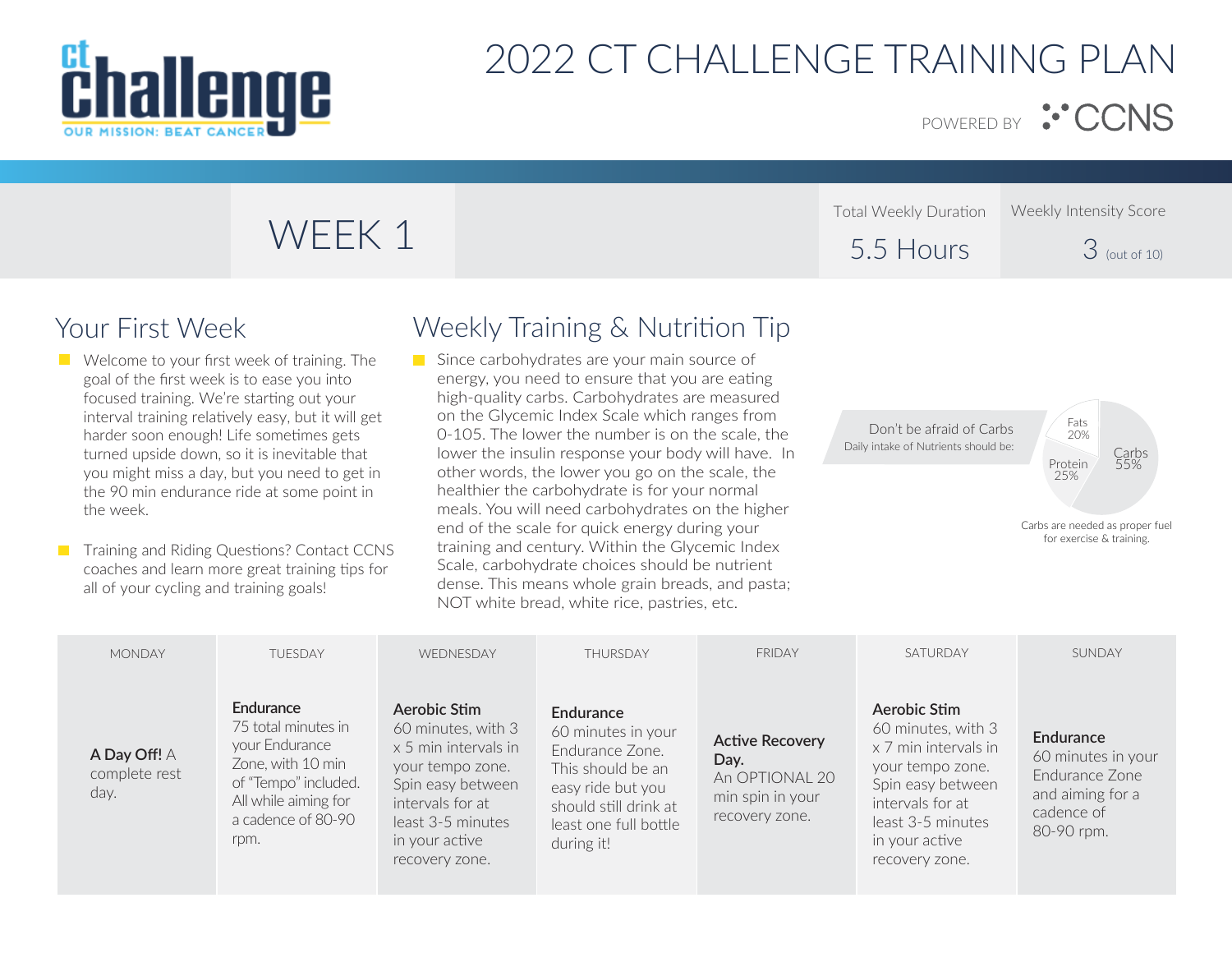

POWERED BY : CCNS

# WEEK 1

Total Weekly Duration 5.5 Hours Weekly Intensity Score 3 (out of 10)

## Your First Week

- **Welcome to your first week of training. The** goal of the first week is to ease you into focused training. We're starting out your interval training relatively easy, but it will get harder soon enough! Life sometimes gets turned upside down, so it is inevitable that you might miss a day, but you need to get in the 90 min endurance ride at some point in the week.
- **T** Training and Riding Questions? Contact CCNS coaches and learn more great training tips for all of your cycling and training goals!

## Weekly Training & Nutrition Tip

Since carbohydrates are your main source of energy, you need to ensure that you are eating high-quality carbs. Carbohydrates are measured on the Glycemic Index Scale which ranges from 0-105. The lower the number is on the scale, the lower the insulin response your body will have. In other words, the lower you go on the scale, the healthier the carbohydrate is for your normal meals. You will need carbohydrates on the higher end of the scale for quick energy during your training and century. Within the Glycemic Index Scale, carbohydrate choices should be nutrient dense. This means whole grain breads, and pasta; NOT white bread, white rice, pastries, etc.

Don't be afraid of Carbs Daily intake of Nutrients should be:

Carbs 55% Fats 20% Protein 25%

| <b>MONDAY</b>                         | TUESDAY                                                                                                                                               | WEDNESDAY                                                                                                                                                                        | THURSDAY                                                                                                                                                     | <b>FRIDAY</b>                                                                          | SATURDAY                                                                                                                                                                         | SUNDAY                                                                                            |
|---------------------------------------|-------------------------------------------------------------------------------------------------------------------------------------------------------|----------------------------------------------------------------------------------------------------------------------------------------------------------------------------------|--------------------------------------------------------------------------------------------------------------------------------------------------------------|----------------------------------------------------------------------------------------|----------------------------------------------------------------------------------------------------------------------------------------------------------------------------------|---------------------------------------------------------------------------------------------------|
| A Day Off! A<br>complete rest<br>day. | Endurance<br>75 total minutes in<br>your Endurance<br>Zone, with 10 min<br>of "Tempo" included.<br>All while aiming for<br>a cadence of 80-90<br>rpm. | Aerobic Stim<br>60 minutes, with 3<br>x 5 min intervals in<br>your tempo zone.<br>Spin easy between<br>intervals for at<br>least 3-5 minutes<br>in your active<br>recovery zone. | Endurance<br>60 minutes in your<br>Endurance Zone.<br>This should be an<br>easy ride but you<br>should still drink at<br>least one full bottle<br>during it! | <b>Active Recovery</b><br>Day.<br>An OPTIONAL 20<br>min spin in your<br>recovery zone. | Aerobic Stim<br>60 minutes, with 3<br>x 7 min intervals in<br>your tempo zone.<br>Spin easy between<br>intervals for at<br>least 3-5 minutes<br>in your active<br>recovery zone. | Endurance<br>60 minutes in your<br>Endurance Zone<br>and aiming for a<br>cadence of<br>80-90 rpm. |

Carbs are needed as proper fuel for exercise & training.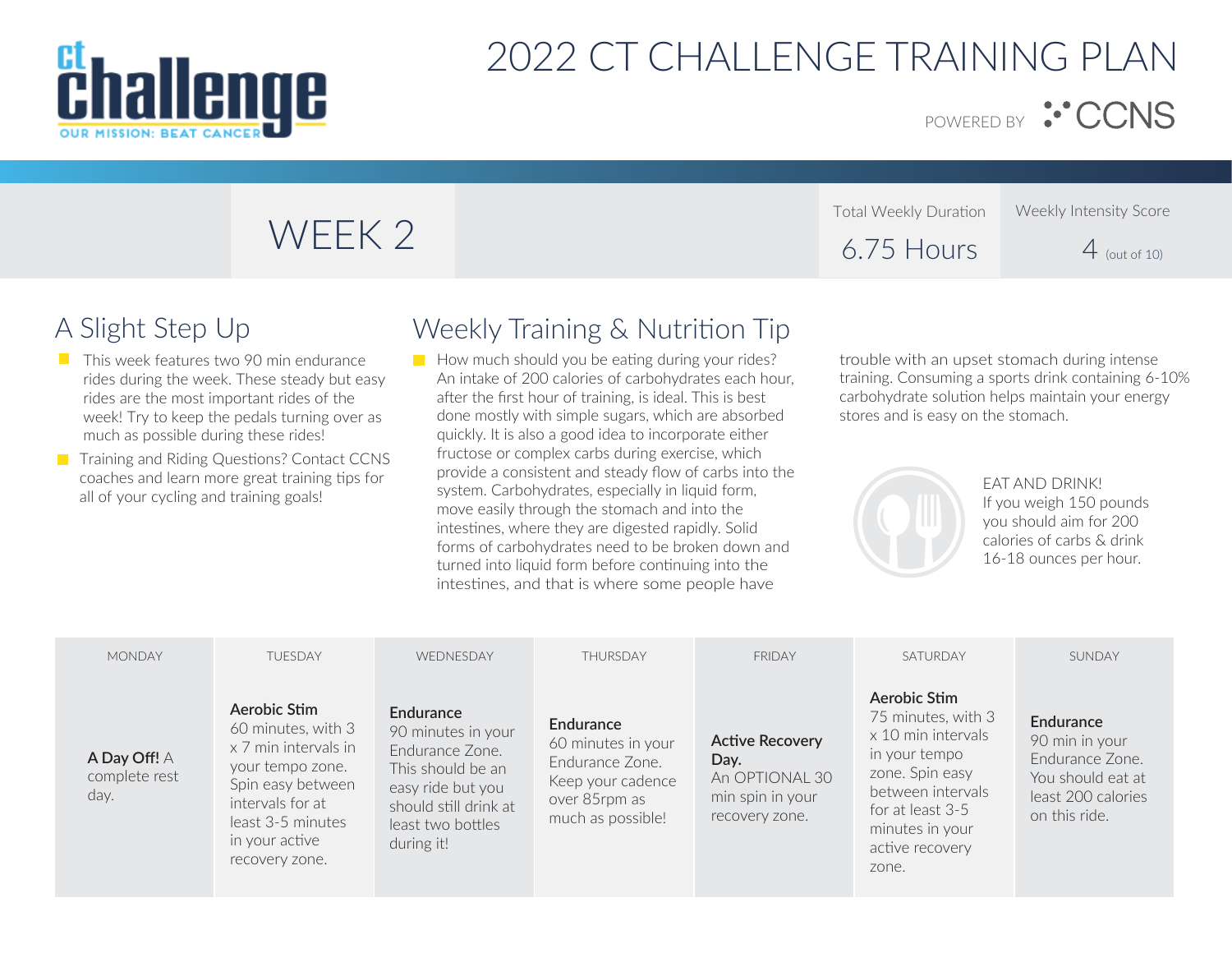

POWERED BY : CCNS

# WEEK 2

#### Total Weekly Duration 6.75 Hours Weekly Intensity Score  $4$  (out of 10)

## A Slight Step Up

- $\Box$  This week features two 90 min endurance rides during the week. These steady but easy rides are the most important rides of the week! Try to keep the pedals turning over as much as possible during these rides!
- Training and Riding Questions? Contact CCNS coaches and learn more great training tips for all of your cycling and training goals!

## Weekly Training & Nutrition Tip

 $\blacksquare$  How much should you be eating during your rides? An intake of 200 calories of carbohydrates each hour, after the first hour of training, is ideal. This is best done mostly with simple sugars, which are absorbed quickly. It is also a good idea to incorporate either fructose or complex carbs during exercise, which provide a consistent and steady flow of carbs into the system. Carbohydrates, especially in liquid form, move easily through the stomach and into the intestines, where they are digested rapidly. Solid forms of carbohydrates need to be broken down and turned into liquid form before continuing into the intestines, and that is where some people have

trouble with an upset stomach during intense training. Consuming a sports drink containing 6-10% carbohydrate solution helps maintain your energy stores and is easy on the stomach.



EAT AND DRINK! If you weigh 150 pounds you should aim for 200 calories of carbs & drink 16-18 ounces per hour.

| <b>MONDAY</b>                         | <b>TUESDAY</b>                                                                                                                                                                   | WEDNESDAY                                                                                                                                                | <b>THURSDAY</b>                                                                                                      | <b>FRIDAY</b>                                                                          | SATURDAY                                                                                                                                                                             | SUNDAY                                                                                                     |
|---------------------------------------|----------------------------------------------------------------------------------------------------------------------------------------------------------------------------------|----------------------------------------------------------------------------------------------------------------------------------------------------------|----------------------------------------------------------------------------------------------------------------------|----------------------------------------------------------------------------------------|--------------------------------------------------------------------------------------------------------------------------------------------------------------------------------------|------------------------------------------------------------------------------------------------------------|
| A Day Off! A<br>complete rest<br>day. | Aerobic Stim<br>60 minutes, with 3<br>x 7 min intervals in<br>your tempo zone.<br>Spin easy between<br>intervals for at<br>least 3-5 minutes<br>in your active<br>recovery zone. | Endurance<br>90 minutes in your<br>Endurance Zone.<br>This should be an<br>easy ride but you<br>should still drink at<br>least two bottles<br>during it! | <b>Endurance</b><br>60 minutes in your<br>Endurance Zone.<br>Keep your cadence<br>over 85rpm as<br>much as possible! | <b>Active Recovery</b><br>Day.<br>An OPTIONAL 30<br>min spin in your<br>recovery zone. | Aerobic Stim<br>75 minutes, with 3<br>x 10 min intervals<br>in your tempo<br>zone. Spin easy<br>between intervals<br>for at least 3-5<br>minutes in your<br>active recovery<br>zone. | Endurance<br>90 min in your<br>Endurance Zone.<br>You should eat at<br>least 200 calories<br>on this ride. |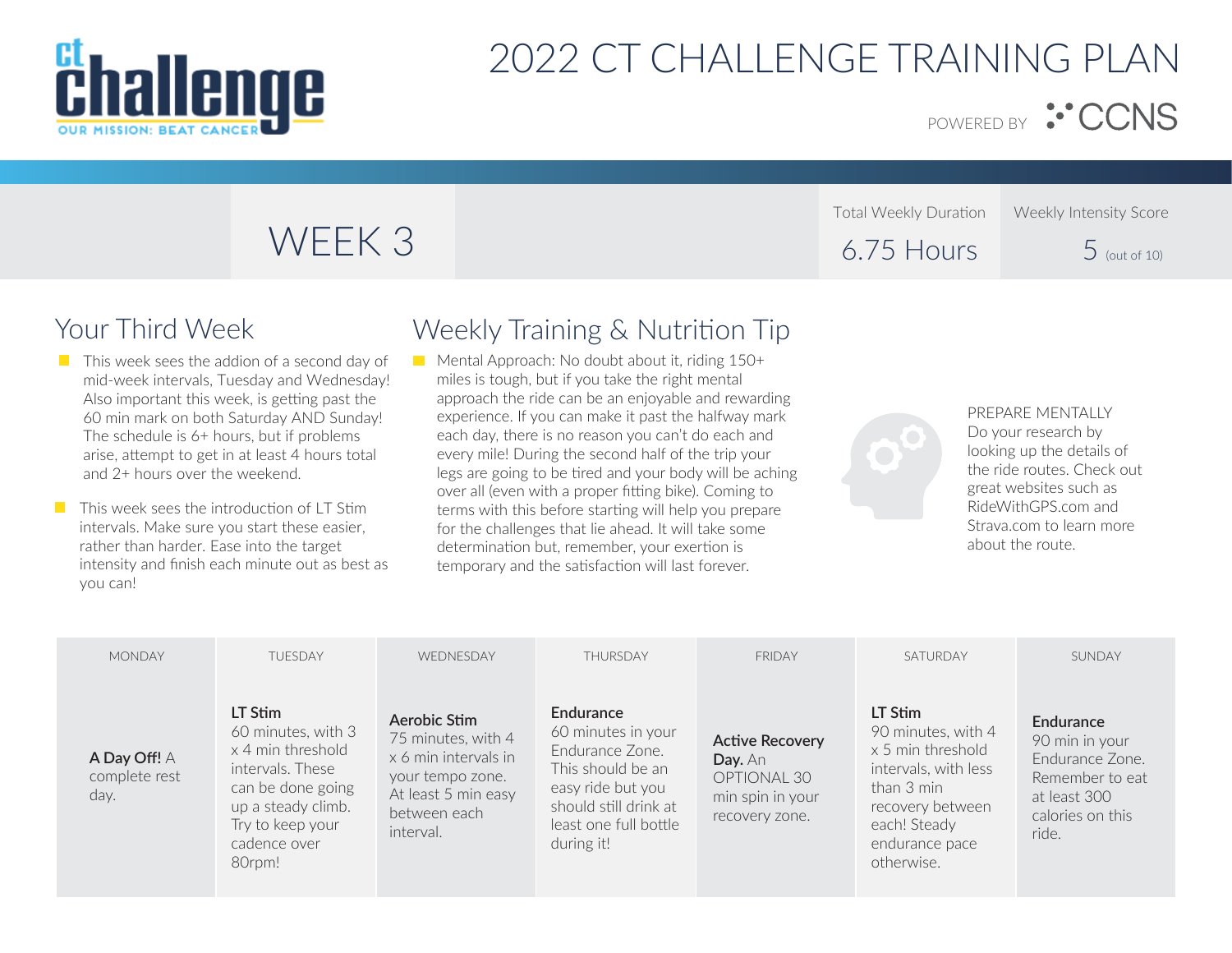

POWERED BY : CCNS

Weekly Intensity Score

 $5$  (out of 10)

# WEEK 3

## Your Third Week

- $\blacksquare$  This week sees the addion of a second day of mid-week intervals, Tuesday and Wednesday! Also important this week, is getting past the 60 min mark on both Saturday AND Sunday! The schedule is 6+ hours, but if problems arise, attempt to get in at least 4 hours total and 2+ hours over the weekend.
- $\blacksquare$  This week sees the introduction of LT Stim intervals. Make sure you start these easier, rather than harder. Ease into the target intensity and finish each minute out as best as you can!

### Weekly Training & Nutrition Tip

Mental Approach: No doubt about it, riding  $150+$ miles is tough, but if you take the right mental approach the ride can be an enjoyable and rewarding experience. If you can make it past the halfway mark each day, there is no reason you can't do each and every mile! During the second half of the trip your legs are going to be tired and your body will be aching over all (even with a proper fitting bike). Coming to terms with this before starting will help you prepare for the challenges that lie ahead. It will take some determination but, remember, your exertion is temporary and the satisfaction will last forever.



Total Weekly Duration

6.75 Hours

PREPARE MENTALLY Do your research by looking up the details of the ride routes. Check out great websites such as RideWithGPS.com and Strava.com to learn more about the route.

| <b>MONDAY</b>                         | <b>TUFSDAY</b>                                                                                                                                                  | <b>WEDNESDAY</b>                                                                                                                   | <b>THURSDAY</b>                                                                                                                                              | <b>FRIDAY</b>                                                                          | SATURDAY                                                                                                                                                     | SUNDAY                                                                                                         |
|---------------------------------------|-----------------------------------------------------------------------------------------------------------------------------------------------------------------|------------------------------------------------------------------------------------------------------------------------------------|--------------------------------------------------------------------------------------------------------------------------------------------------------------|----------------------------------------------------------------------------------------|--------------------------------------------------------------------------------------------------------------------------------------------------------------|----------------------------------------------------------------------------------------------------------------|
| A Day Off! A<br>complete rest<br>day. | LT Stim<br>60 minutes, with 3<br>x 4 min threshold<br>intervals. These<br>can be done going<br>up a steady climb.<br>Try to keep your<br>cadence over<br>80rpm! | Aerobic Stim<br>75 minutes, with 4<br>x 6 min intervals in<br>your tempo zone.<br>At least 5 min easy<br>between each<br>interval. | Endurance<br>60 minutes in your<br>Endurance Zone.<br>This should be an<br>easy ride but you<br>should still drink at<br>least one full bottle<br>during it! | <b>Active Recovery</b><br>Day. An<br>OPTIONAL 30<br>min spin in your<br>recovery zone. | LT Stim<br>90 minutes, with 4<br>x 5 min threshold<br>intervals, with less<br>than 3 min<br>recovery between<br>each! Steady<br>endurance pace<br>otherwise. | Endurance<br>90 min in your<br>Endurance Zone.<br>Remember to eat<br>at least 300<br>calories on this<br>ride. |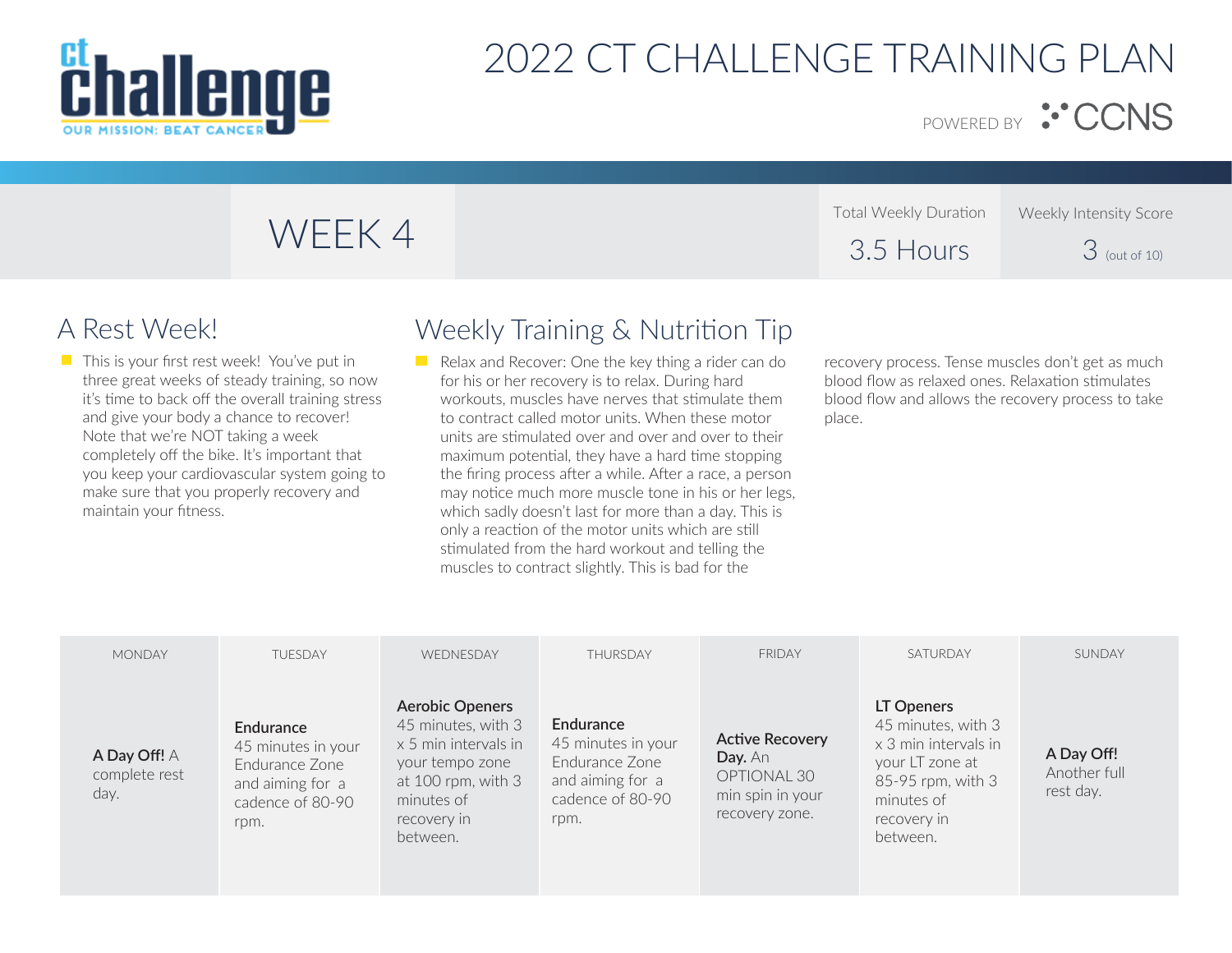

POWERED BY <sup>:•</sup> CCNS

|        | Total Weekly Duration | Weekly Intensity Score |
|--------|-----------------------|------------------------|
| WEEK 4 | 3.5 Hours             | $3$ (out of 10)        |

 $\blacksquare$  This is your first rest week! You've put in three great weeks of steady training, so now it's time to back off the overall training stress and give your body a chance to recover! Note that we're NOT taking a week completely off the bike. It's important that you keep your cardiovascular system going to make sure that you properly recovery and maintain your fitness.

### A Rest Week! Weekly Training & Nutrition Tip

 $\blacksquare$  Relax and Recover: One the key thing a rider can do for his or her recovery is to relax. During hard workouts, muscles have nerves that stimulate them to contract called motor units. When these motor units are stimulated over and over and over to their maximum potential, they have a hard time stopping the firing process after a while. After a race, a person may notice much more muscle tone in his or her legs, which sadly doesn't last for more than a day. This is only a reaction of the motor units which are still stimulated from the hard workout and telling the muscles to contract slightly. This is bad for the

recovery process. Tense muscles don't get as much blood flow as relaxed ones. Relaxation stimulates blood flow and allows the recovery process to take place.

| <b>MONDAY</b>                         | <b>TUESDAY</b>                                                                                           | WEDNESDAY                                                                                                                                                | <b>THURSDAY</b>                                                                                   | <b>FRIDAY</b>                                                                          | SATURDAY                                                                                                                                  | SUNDAY                                  |
|---------------------------------------|----------------------------------------------------------------------------------------------------------|----------------------------------------------------------------------------------------------------------------------------------------------------------|---------------------------------------------------------------------------------------------------|----------------------------------------------------------------------------------------|-------------------------------------------------------------------------------------------------------------------------------------------|-----------------------------------------|
| A Day Off! A<br>complete rest<br>day. | <b>Endurance</b><br>45 minutes in your<br>Endurance Zone<br>and aiming for a<br>cadence of 80-90<br>rpm. | <b>Aerobic Openers</b><br>45 minutes, with 3<br>x 5 min intervals in<br>your tempo zone<br>at 100 rpm, with $3$<br>minutes of<br>recovery in<br>between. | Endurance<br>45 minutes in your<br>Endurance Zone<br>and aiming for a<br>cadence of 80-90<br>rpm. | <b>Active Recovery</b><br>Day. An<br>OPTIONAL 30<br>min spin in your<br>recovery zone. | LT Openers<br>45 minutes, with 3<br>x 3 min intervals in<br>your LT zone at<br>85-95 rpm, with 3<br>minutes of<br>recovery in<br>between. | A Day Off!<br>Another full<br>rest day. |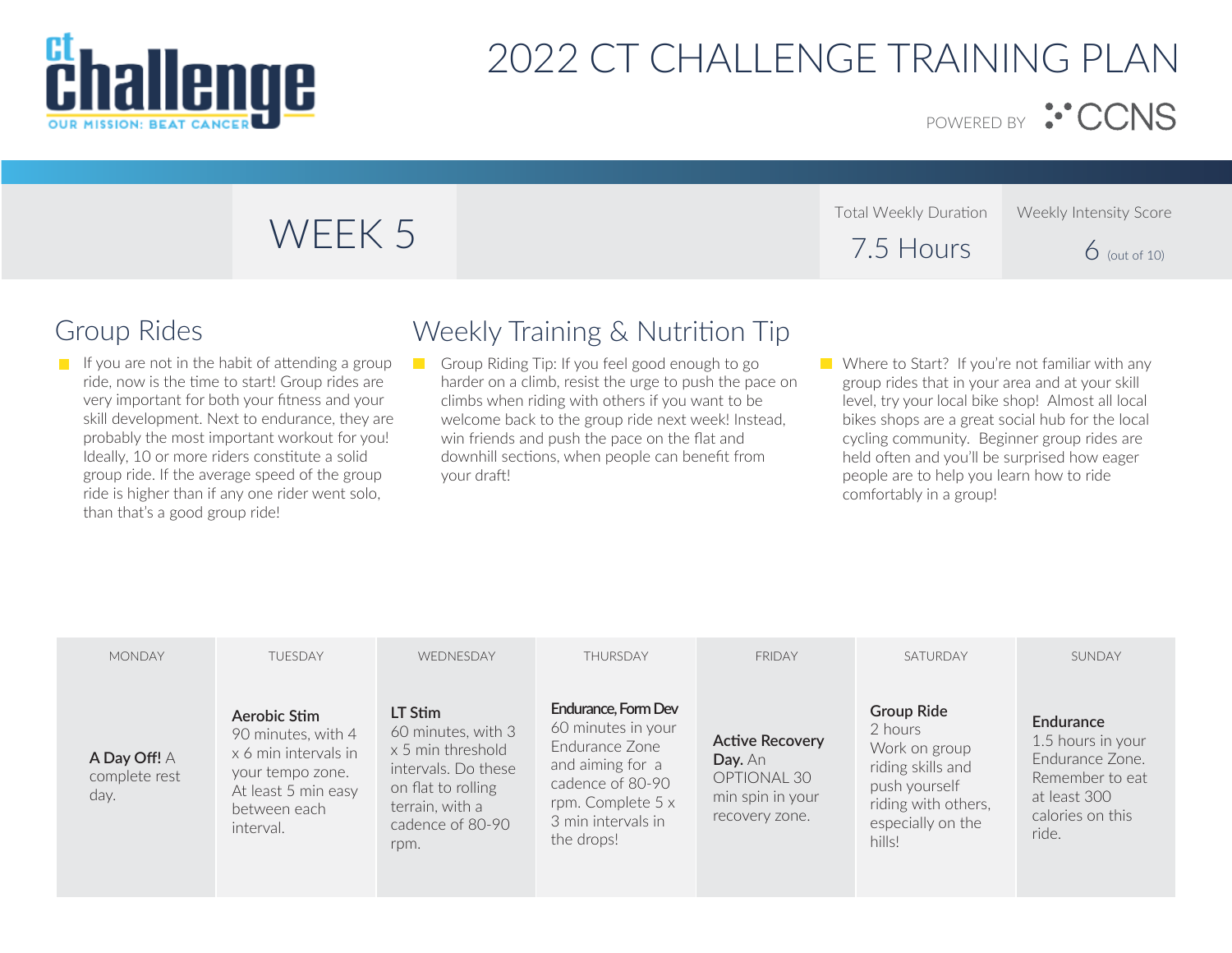

POWERED BY : CCNS

#### Total Weekly Duration 7.5 Hours Weekly Intensity Score  $6$  (out of 10) WEEK 5

If you are not in the habit of attending a group ride, now is the time to start! Group rides are very important for both your fitness and your skill development. Next to endurance, they are probably the most important workout for you! Ideally, 10 or more riders constitute a solid group ride. If the average speed of the group ride is higher than if any one rider went solo, than that's a good group ride!

## Group Rides Weekly Training & Nutrition Tip

Group Riding Tip: If you feel good enough to go  $\blacksquare$ harder on a climb, resist the urge to push the pace on climbs when riding with others if you want to be welcome back to the group ride next week! Instead, win friends and push the pace on the flat and downhill sections, when people can benefit from your draft!

**Where to Start?** If you're not familiar with any group rides that in your area and at your skill level, try your local bike shop! Almost all local bikes shops are a great social hub for the local cycling community. Beginner group rides are held often and you'll be surprised how eager people are to help you learn how to ride comfortably in a group!

| <b>MONDAY</b>                         | <b>TUESDAY</b>                                                                                                                     | WEDNESDAY                                                                                                                                      | THURSDAY                                                                                                                                                     | <b>FRIDAY</b>                                                                          | SATURDAY                                                                                                                                  | SUNDAY                                                                                                            |
|---------------------------------------|------------------------------------------------------------------------------------------------------------------------------------|------------------------------------------------------------------------------------------------------------------------------------------------|--------------------------------------------------------------------------------------------------------------------------------------------------------------|----------------------------------------------------------------------------------------|-------------------------------------------------------------------------------------------------------------------------------------------|-------------------------------------------------------------------------------------------------------------------|
| A Day Off! A<br>complete rest<br>day. | Aerobic Stim<br>90 minutes, with 4<br>x 6 min intervals in<br>your tempo zone.<br>At least 5 min easy<br>between each<br>interval. | LT Stim<br>60 minutes, with 3<br>x 5 min threshold<br>intervals. Do these<br>on flat to rolling<br>terrain, with a<br>cadence of 80-90<br>rpm. | Endurance, Form Dev<br>60 minutes in your<br>Endurance Zone<br>and aiming for a<br>cadence of 80-90<br>rpm. Complete 5 x<br>3 min intervals in<br>the drops! | <b>Active Recovery</b><br>Day. An<br>OPTIONAL 30<br>min spin in your<br>recovery zone. | <b>Group Ride</b><br>2 hours<br>Work on group<br>riding skills and<br>push yourself<br>riding with others,<br>especially on the<br>hills! | Endurance<br>1.5 hours in your<br>Fndurance Zone.<br>Remember to eat<br>at least 300<br>calories on this<br>ride. |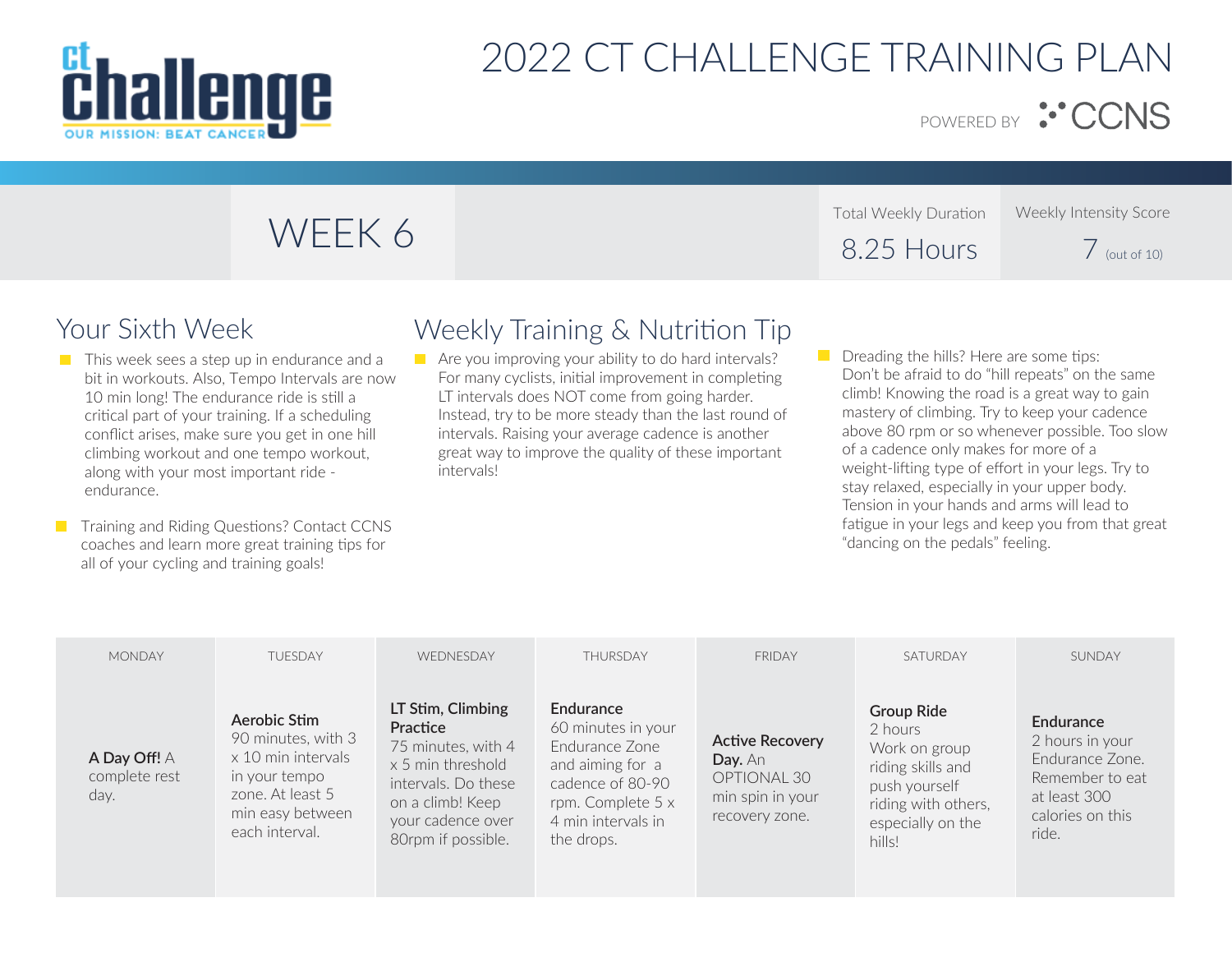

POWERED BY : CCNS

#### Total Weekly Duration 8.25 Hours Weekly Intensity Score  $\overline{7}$  (out of 10)

- $\blacksquare$  This week sees a step up in endurance and a bit in workouts. Also, Tempo Intervals are now 10 min long! The endurance ride is still a critical part of your training. If a scheduling conflict arises, make sure you get in one hill climbing workout and one tempo workout, along with your most important ride endurance.
- **T** Training and Riding Questions? Contact CCNS coaches and learn more great training tips for all of your cycling and training goals!

## Your Sixth Week Weekly Training & Nutrition Tip

- $\blacksquare$  Are you improving your ability to do hard intervals? For many cyclists, initial improvement in completing LT intervals does NOT come from going harder. Instead, try to be more steady than the last round of intervals. Raising your average cadence is another great way to improve the quality of these important intervals!
- $\Box$  Dreading the hills? Here are some tips: Don't be afraid to do "hill repeats" on the same climb! Knowing the road is a great way to gain mastery of climbing. Try to keep your cadence above 80 rpm or so whenever possible. Too slow of a cadence only makes for more of a weight-lifting type of effort in your legs. Try to stay relaxed, especially in your upper body. Tension in your hands and arms will lead to fatigue in your legs and keep you from that great "dancing on the pedals" feeling.

| <b>MONDAY</b>                         | <b>TUESDAY</b>                                                                                                                      | WEDNESDAY                                                                                                                                                      | THURSDAY                                                                                                                                           | <b>FRIDAY</b>                                                                          | SATURDAY                                                                                                                                  | SUNDAY                                                                                                          |
|---------------------------------------|-------------------------------------------------------------------------------------------------------------------------------------|----------------------------------------------------------------------------------------------------------------------------------------------------------------|----------------------------------------------------------------------------------------------------------------------------------------------------|----------------------------------------------------------------------------------------|-------------------------------------------------------------------------------------------------------------------------------------------|-----------------------------------------------------------------------------------------------------------------|
| A Day Off! A<br>complete rest<br>day. | Aerobic Stim<br>90 minutes, with 3<br>x 10 min intervals<br>in your tempo<br>zone. At least 5<br>min easy between<br>each interval. | LT Stim, Climbing<br>Practice<br>75 minutes, with 4<br>x 5 min threshold<br>intervals. Do these<br>on a climb! Keep<br>your cadence over<br>80rpm if possible. | Endurance<br>60 minutes in your<br>Fndurance Zone<br>and aiming for a<br>cadence of 80-90<br>rpm. Complete 5 x<br>4 min intervals in<br>the drops. | <b>Active Recovery</b><br>Day. An<br>OPTIONAL 30<br>min spin in your<br>recovery zone. | <b>Group Ride</b><br>2 hours<br>Work on group<br>riding skills and<br>push yourself<br>riding with others,<br>especially on the<br>hills! | Endurance<br>2 hours in your<br>Fndurance Zone.<br>Remember to eat<br>at least 300<br>calories on this<br>ride. |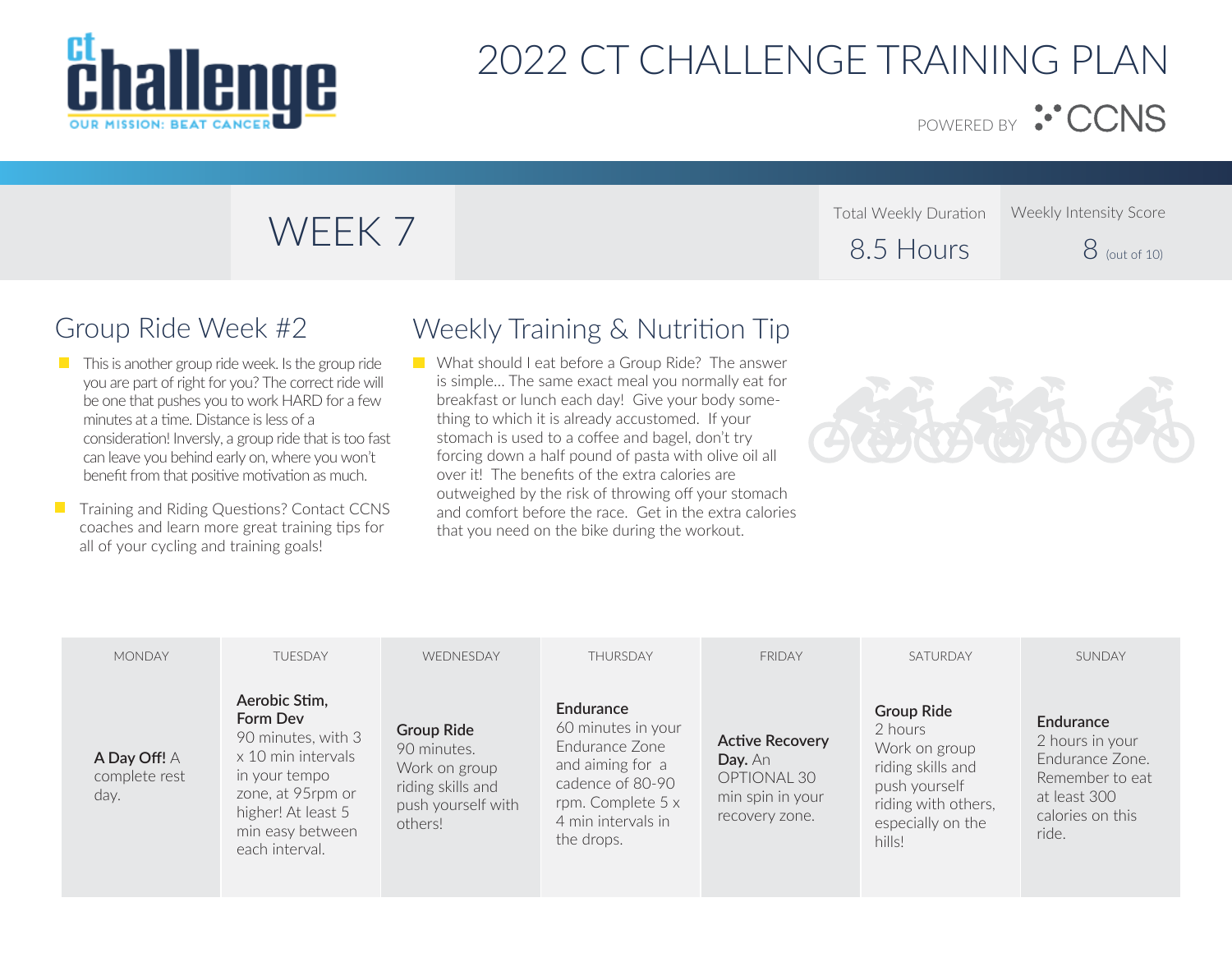

POWERED BY : CCNS

### Total Weekly Duration 8.5 Hours Total Weekly Duration Weekly Intensity Score<br>
8.5 Hours 8 (out of 10)

## Group Ride Week #2

- $\blacksquare$  This is another group ride week. Is the group ride you are part of right for you? The correct ride will be one that pushes you to work HARD for a few minutes at a time. Distance is less of a consideration! Inversly, a group ride that is too fast can leave you behind early on, where you won't benefit from that positive motivation as much.
- **T** Training and Riding Questions? Contact CCNS coaches and learn more great training tips for all of your cycling and training goals!

## Weekly Training & Nutrition Tip

**Now What should I eat before a Group Ride?** The answer is simple… The same exact meal you normally eat for breakfast or lunch each day! Give your body something to which it is already accustomed. If your stomach is used to a coffee and bagel, don't try forcing down a half pound of pasta with olive oil all over it! The benefits of the extra calories are outweighed by the risk of throwing off your stomach and comfort before the race. Get in the extra calories that you need on the bike during the workout.



| <b>MONDAY</b>                         | <b>TUESDAY</b>                                                                                                                                                          | WEDNESDAY                                                                                               | THURSDAY                                                                                                                                           | <b>FRIDAY</b>                                                                          | SATURDAY                                                                                                                                  | SUNDAY                                                                                                          |
|---------------------------------------|-------------------------------------------------------------------------------------------------------------------------------------------------------------------------|---------------------------------------------------------------------------------------------------------|----------------------------------------------------------------------------------------------------------------------------------------------------|----------------------------------------------------------------------------------------|-------------------------------------------------------------------------------------------------------------------------------------------|-----------------------------------------------------------------------------------------------------------------|
| A Day Off! A<br>complete rest<br>day. | Aerobic Stim,<br>Form Dev<br>90 minutes, with 3<br>x 10 min intervals<br>in your tempo<br>zone, at 95rpm or<br>higher! At least 5<br>min easy between<br>each interval. | <b>Group Ride</b><br>90 minutes.<br>Work on group<br>riding skills and<br>push yourself with<br>others! | Endurance<br>60 minutes in your<br>Endurance Zone<br>and aiming for a<br>cadence of 80-90<br>rpm. Complete 5 x<br>4 min intervals in<br>the drops. | <b>Active Recovery</b><br>Day. An<br>OPTIONAL 30<br>min spin in your<br>recovery zone. | <b>Group Ride</b><br>2 hours<br>Work on group<br>riding skills and<br>push yourself<br>riding with others,<br>especially on the<br>hills! | Endurance<br>2 hours in your<br>Endurance Zone.<br>Remember to eat<br>at least 300<br>calories on this<br>ride. |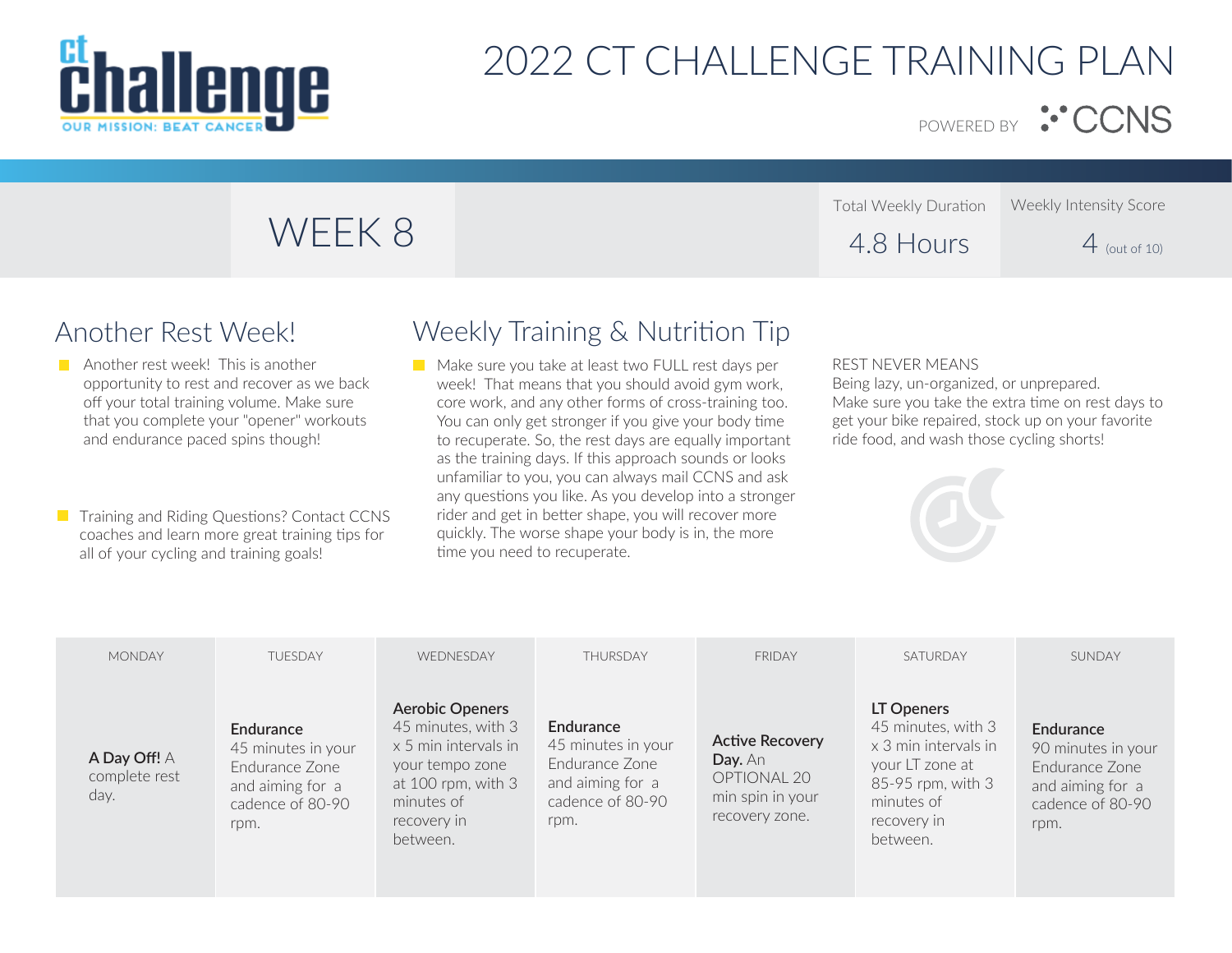

POWERED BY :<sup>..</sup> CCNS

Weekly Intensity Score

 $4$  (out of 10)

# WEEK 8

## Another Rest Week!

- **Another rest week!** This is another opportunity to rest and recover as we back off your total training volume. Make sure that you complete your "opener" workouts and endurance paced spins though!
- **T** Training and Riding Questions? Contact CCNS coaches and learn more great training tips for all of your cycling and training goals!

### Weekly Training & Nutrition Tip

Make sure you take at least two FULL rest days per week! That means that you should avoid gym work, core work, and any other forms of cross-training too. You can only get stronger if you give your body time to recuperate. So, the rest days are equally important as the training days. If this approach sounds or looks unfamiliar to you, you can always mail CCNS and ask any questions you like. As you develop into a stronger rider and get in better shape, you will recover more quickly. The worse shape your body is in, the more time you need to recuperate.

#### REST NEVER MEANS

Total Weekly Duration

4.8 Hours

Being lazy, un-organized, or unprepared. Make sure you take the extra time on rest days to get your bike repaired, stock up on your favorite ride food, and wash those cycling shorts!



| <b>MONDAY</b>                         | <b>TUESDAY</b>                                                                                    | WEDNESDAY                                                                                                                                                  | THURSDAY                                                                                                 | <b>FRIDAY</b>                                                                          | SATURDAY                                                                                                                                  | SUNDAY                                                                                            |
|---------------------------------------|---------------------------------------------------------------------------------------------------|------------------------------------------------------------------------------------------------------------------------------------------------------------|----------------------------------------------------------------------------------------------------------|----------------------------------------------------------------------------------------|-------------------------------------------------------------------------------------------------------------------------------------------|---------------------------------------------------------------------------------------------------|
| A Day Off! A<br>complete rest<br>day. | Endurance<br>45 minutes in your<br>Fndurance Zone<br>and aiming for a<br>cadence of 80-90<br>rpm. | <b>Aerobic Openers</b><br>45 minutes, with 3<br>x 5 min intervals in<br>your tempo zone<br>at $100$ rpm, with $3$<br>minutes of<br>recovery in<br>between. | <b>Endurance</b><br>45 minutes in your<br>Endurance Zone<br>and aiming for a<br>cadence of 80-90<br>rpm. | <b>Active Recovery</b><br>Day. An<br>OPTIONAL 20<br>min spin in your<br>recovery zone. | LT Openers<br>45 minutes, with 3<br>x 3 min intervals in<br>your LT zone at<br>85-95 rpm, with 3<br>minutes of<br>recovery in<br>between. | Endurance<br>90 minutes in your<br>Fndurance Zone<br>and aiming for a<br>cadence of 80-90<br>rpm. |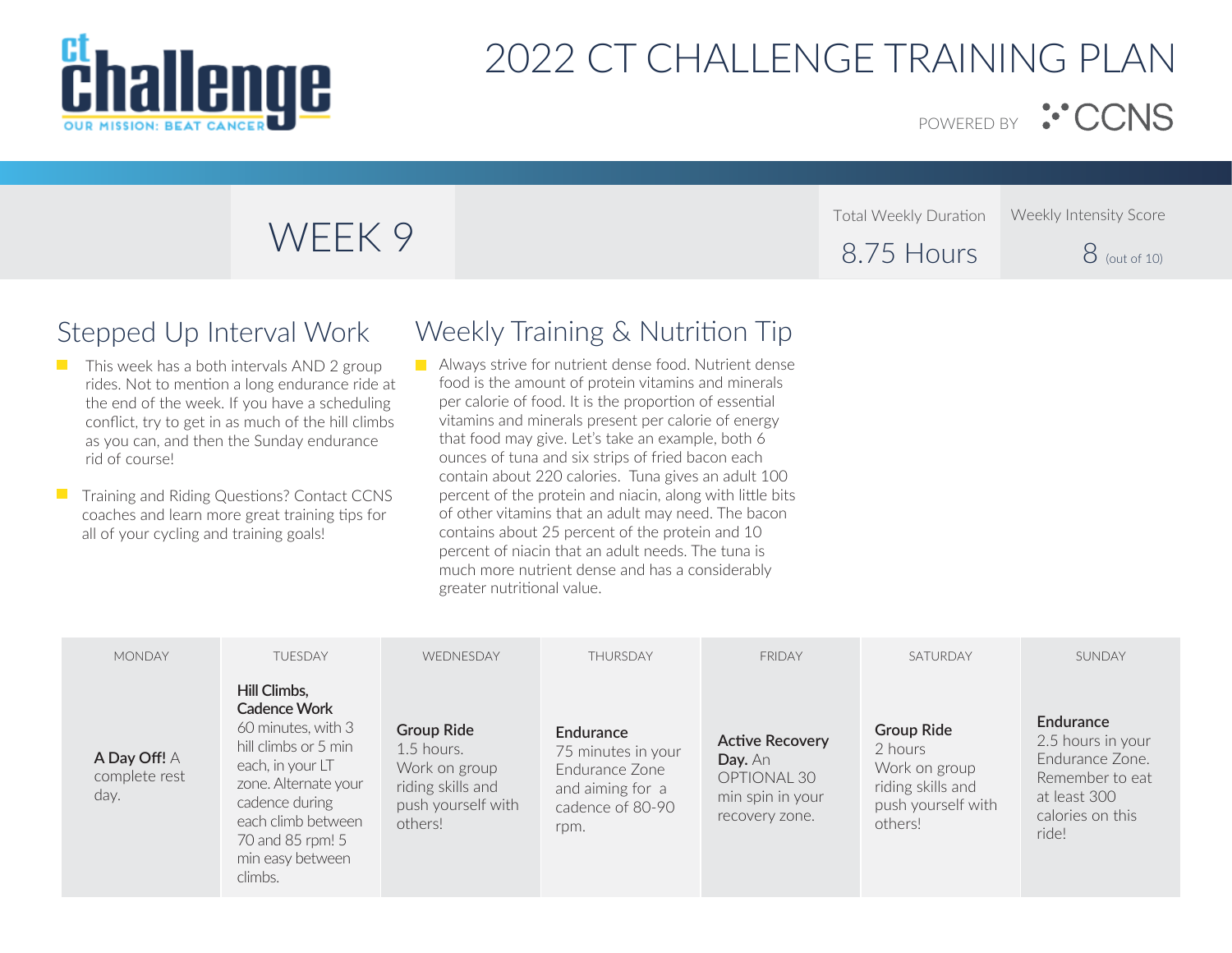

Total Weekly Duration

POWERED BY <sup>:•</sup> CCNS

Weekly Intensity Score

| WEEK 9 | 8.75 Hours | $8$ (out of 10) |
|--------|------------|-----------------|

### Stepped Up Interval Work

- $\blacksquare$  This week has a both intervals AND 2 group rides. Not to mention a long endurance ride at the end of the week. If you have a scheduling conflict, try to get in as much of the hill climbs as you can, and then the Sunday endurance rid of course!
- Training and Riding Questions? Contact CCNS  $\mathcal{L}_{\mathcal{A}}$ coaches and learn more great training tips for all of your cycling and training goals!

### Weekly Training & Nutrition Tip

**Always strive for nutrient dense food. Nutrient dense** food is the amount of protein vitamins and minerals per calorie of food. It is the proportion of essential vitamins and minerals present per calorie of energy that food may give. Let's take an example, both 6 ounces of tuna and six strips of fried bacon each contain about 220 calories. Tuna gives an adult 100 percent of the protein and niacin, along with little bits of other vitamins that an adult may need. The bacon contains about 25 percent of the protein and 10 percent of niacin that an adult needs. The tuna is much more nutrient dense and has a considerably greater nutritional value.

| <b>MONDAY</b>                         | <b>TUESDAY</b>                                                                                                                                                                                                           | WEDNESDAY                                                                                                | THURSDAY                                                                                          | <b>FRIDAY</b>                                                                          | SATURDAY                                                                                            | SUNDAY                                                                                                            |
|---------------------------------------|--------------------------------------------------------------------------------------------------------------------------------------------------------------------------------------------------------------------------|----------------------------------------------------------------------------------------------------------|---------------------------------------------------------------------------------------------------|----------------------------------------------------------------------------------------|-----------------------------------------------------------------------------------------------------|-------------------------------------------------------------------------------------------------------------------|
| A Day Off! A<br>complete rest<br>day. | Hill Climbs,<br><b>Cadence Work</b><br>60 minutes, with 3<br>hill climbs or 5 min<br>each, in your LT<br>zone. Alternate your<br>cadence during<br>each climb between<br>70 and 85 rpm! 5<br>min easy between<br>climbs. | <b>Group Ride</b><br>$1.5$ hours.<br>Work on group<br>riding skills and<br>push yourself with<br>others! | Endurance<br>75 minutes in your<br>Fndurance Zone<br>and aiming for a<br>cadence of 80-90<br>rpm. | <b>Active Recovery</b><br>Day. An<br>OPTIONAL 30<br>min spin in your<br>recovery zone. | <b>Group Ride</b><br>2 hours<br>Work on group<br>riding skills and<br>push yourself with<br>others! | Endurance<br>2.5 hours in your<br>Endurance Zone.<br>Remember to eat<br>at least 300<br>calories on this<br>ride! |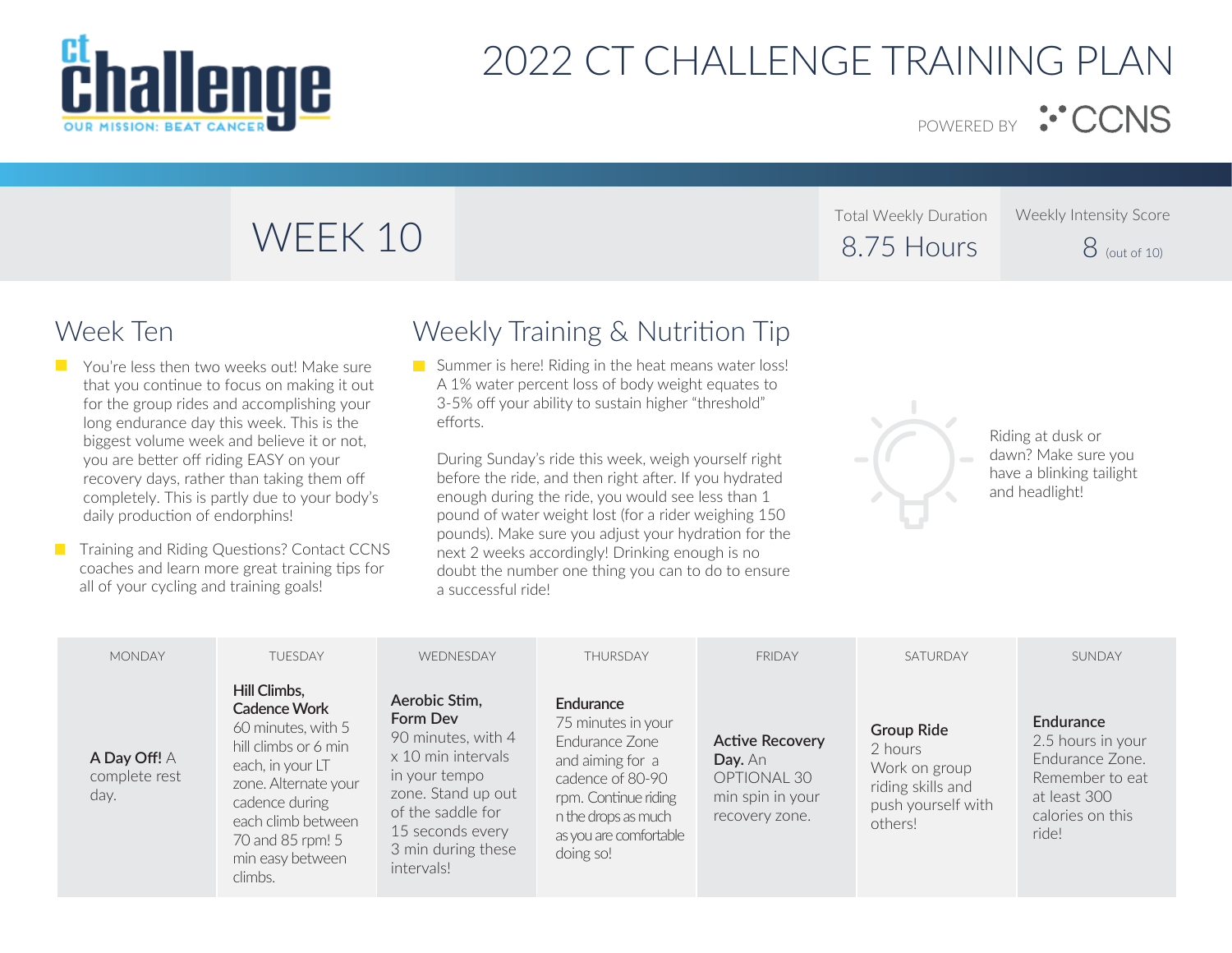

POWERED BY :<sup>.</sup> CCNS

# WEEK 10

Total Weekly Duration 8.75 Hours Weekly Intensity Score

 $8$  (out of 10)

## Week Ten

- **T** You're less then two weeks out! Make sure that you continue to focus on making it out for the group rides and accomplishing your long endurance day this week. This is the biggest volume week and believe it or not, you are better off riding EASY on your recovery days, rather than taking them off completely. This is partly due to your body's daily production of endorphins!
- **T** Training and Riding Questions? Contact CCNS coaches and learn more great training tips for all of your cycling and training goals!

## Weekly Training & Nutrition Tip

Summer is here! Riding in the heat means water loss! A 1% water percent loss of body weight equates to 3-5% off your ability to sustain higher "threshold" efforts.

During Sunday's ride this week, weigh yourself right before the ride, and then right after. If you hydrated enough during the ride, you would see less than 1 pound of water weight lost (for a rider weighing 150 pounds). Make sure you adjust your hydration for the next 2 weeks accordingly! Drinking enough is no doubt the number one thing you can to do to ensure a successful ride!



Riding at dusk or dawn? Make sure you have a blinking tailight and headlight!

| <b>MONDAY</b>                         | <b>TUFSDAY</b>                                                                                                                                                                                                    | WEDNESDAY                                                                                                                                                                                 | THURSDAY                                                                                                                                                                        | <b>FRIDAY</b>                                                                          | SATURDAY                                                                                            | SUNDAY                                                                                                            |
|---------------------------------------|-------------------------------------------------------------------------------------------------------------------------------------------------------------------------------------------------------------------|-------------------------------------------------------------------------------------------------------------------------------------------------------------------------------------------|---------------------------------------------------------------------------------------------------------------------------------------------------------------------------------|----------------------------------------------------------------------------------------|-----------------------------------------------------------------------------------------------------|-------------------------------------------------------------------------------------------------------------------|
| A Day Off! A<br>complete rest<br>day. | Hill Climbs,<br>Cadence Work<br>60 minutes, with 5<br>hill climbs or 6 min<br>each, in your LT<br>zone. Alternate your<br>cadence during<br>each climb between<br>70 and 85 rpm! 5<br>min easy between<br>climbs. | Aerobic Stim,<br>Form Dev<br>90 minutes, with 4<br>x 10 min intervals<br>in your tempo<br>zone. Stand up out<br>of the saddle for<br>15 seconds every<br>3 min during these<br>intervals! | Endurance<br>75 minutes in your<br>Fndurance Zone<br>and aiming for a<br>cadence of 80-90<br>rpm. Continue riding<br>n the drops as much<br>as you are comfortable<br>doing so! | <b>Active Recovery</b><br>Day. An<br>OPTIONAL 30<br>min spin in your<br>recovery zone. | <b>Group Ride</b><br>2 hours<br>Work on group<br>riding skills and<br>push yourself with<br>others! | Endurance<br>2.5 hours in your<br>Endurance Zone.<br>Remember to eat<br>at least 300<br>calories on this<br>ride! |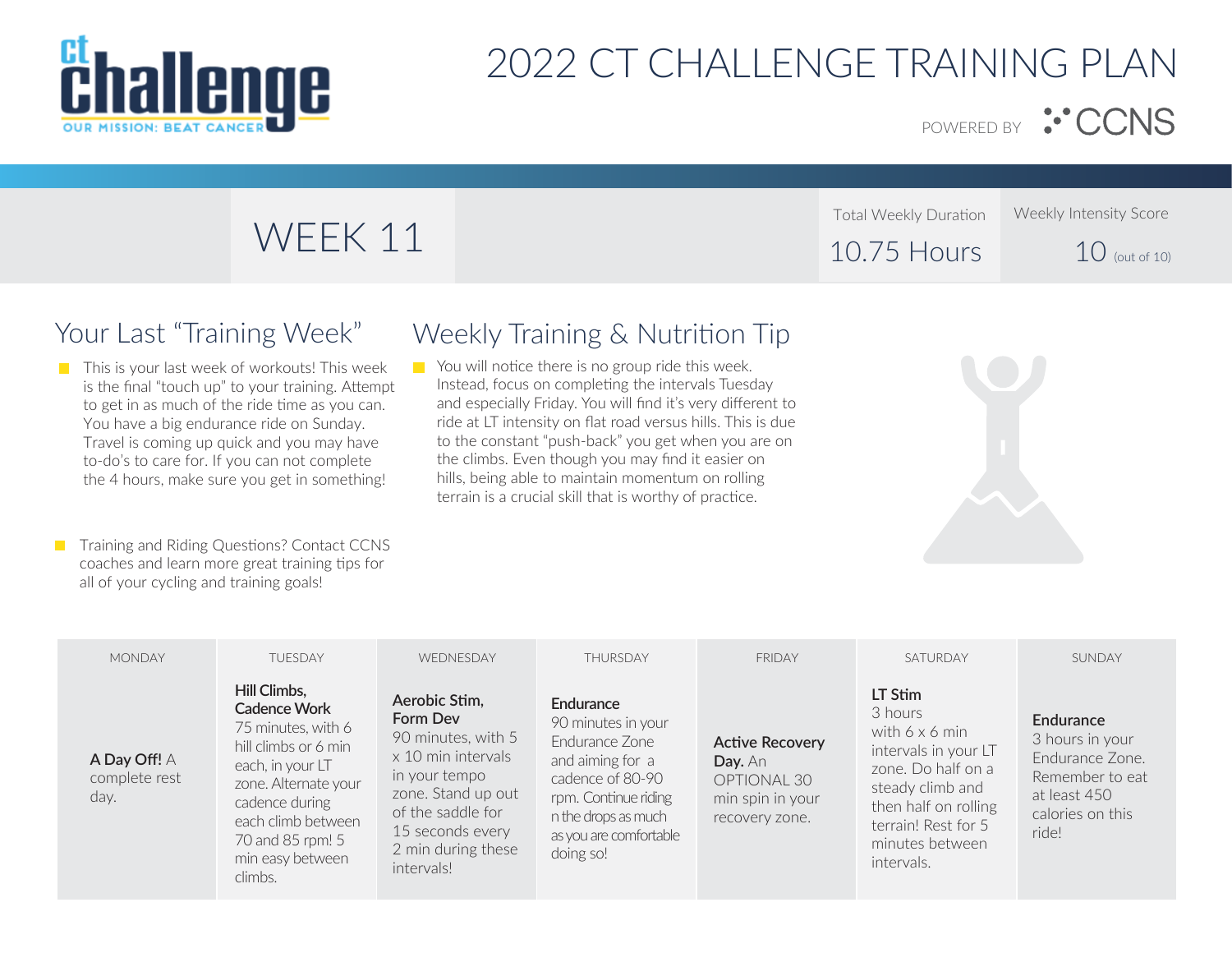

Total Weekly Duration

10.75 Hours

POWERED BY :<sup>..</sup> CCNS

Weekly Intensity Score

 $10$  (out of 10)

# WEEK 11

## Your Last "Training Week"

 $\blacksquare$  This is your last week of workouts! This week is the final "touch up" to your training. Attempt to get in as much of the ride time as you can. You have a big endurance ride on Sunday. Travel is coming up quick and you may have to-do's to care for. If you can not complete the 4 hours, make sure you get in something!

**T** Training and Riding Questions? Contact CCNS coaches and learn more great training tips for all of your cycling and training goals!

## Weekly Training & Nutrition Tip

You will notice there is no group ride this week.  $\mathcal{L}_{\text{max}}$ Instead, focus on completing the intervals Tuesday and especially Friday. You will find it's very different to ride at LT intensity on flat road versus hills. This is due to the constant "push-back" you get when you are on the climbs. Even though you may find it easier on hills, being able to maintain momentum on rolling terrain is a crucial skill that is worthy of practice.



| <b>MONDAY</b>                         | <b>TUESDAY</b>                                                                                                                                                                                                           | WEDNESDAY                                                                                                                                                                                 | <b>THURSDAY</b>                                                                                                                                                                 | <b>FRIDAY</b>                                                                          | SATURDAY                                                                                                                                                                               | SUNDAY                                                                                                          |
|---------------------------------------|--------------------------------------------------------------------------------------------------------------------------------------------------------------------------------------------------------------------------|-------------------------------------------------------------------------------------------------------------------------------------------------------------------------------------------|---------------------------------------------------------------------------------------------------------------------------------------------------------------------------------|----------------------------------------------------------------------------------------|----------------------------------------------------------------------------------------------------------------------------------------------------------------------------------------|-----------------------------------------------------------------------------------------------------------------|
| A Day Off! A<br>complete rest<br>day. | Hill Climbs,<br><b>Cadence Work</b><br>75 minutes, with 6<br>hill climbs or 6 min<br>each, in your LT<br>zone. Alternate your<br>cadence during<br>each climb between<br>70 and 85 rpm! 5<br>min easy between<br>climbs. | Aerobic Stim,<br>Form Dev<br>90 minutes, with 5<br>x 10 min intervals<br>in your tempo<br>zone. Stand up out<br>of the saddle for<br>15 seconds every<br>2 min during these<br>intervals! | Endurance<br>90 minutes in your<br>Fndurance Zone<br>and aiming for a<br>cadence of 80-90<br>rpm. Continue riding<br>n the drops as much<br>as you are comfortable<br>doing so! | <b>Active Recovery</b><br>Day. An<br>OPTIONAL 30<br>min spin in your<br>recovery zone. | LT Stim<br>3 hours<br>with 6 x 6 min<br>intervals in your LT<br>zone. Do half on a<br>steady climb and<br>then half on rolling<br>terrain! Rest for 5<br>minutes between<br>intervals. | Endurance<br>3 hours in your<br>Endurance Zone.<br>Remember to eat<br>at least 450<br>calories on this<br>ride! |